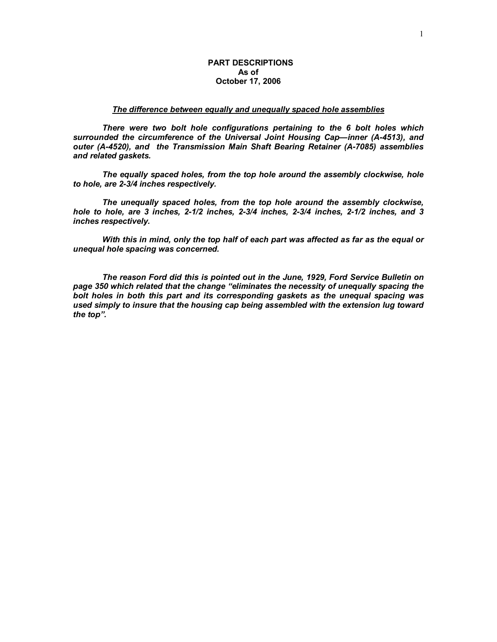# **PART DESCRIPTIONS As of October 17, 2006**

#### *The difference between equally and unequally spaced hole assemblies*

*There were two bolt hole configurations pertaining to the 6 bolt holes which surrounded the circumference of the Universal Joint Housing Cap—inner (A-4513), and outer (A-4520), and the Transmission Main Shaft Bearing Retainer (A-7085) assemblies and related gaskets.* 

*The equally spaced holes, from the top hole around the assembly clockwise, hole to hole, are 2-3/4 inches respectively.* 

*The unequally spaced holes, from the top hole around the assembly clockwise, hole to hole, are 3 inches, 2-1/2 inches, 2-3/4 inches, 2-3/4 inches, 2-1/2 inches, and 3 inches respectively.* 

*With this in mind, only the top half of each part was affected as far as the equal or unequal hole spacing was concerned.* 

*The reason Ford did this is pointed out in the June, 1929, Ford Service Bulletin on page 350 which related that the change "eliminates the necessity of unequally spacing the bolt holes in both this part and its corresponding gaskets as the unequal spacing was used simply to insure that the housing cap being assembled with the extension lug toward the top".*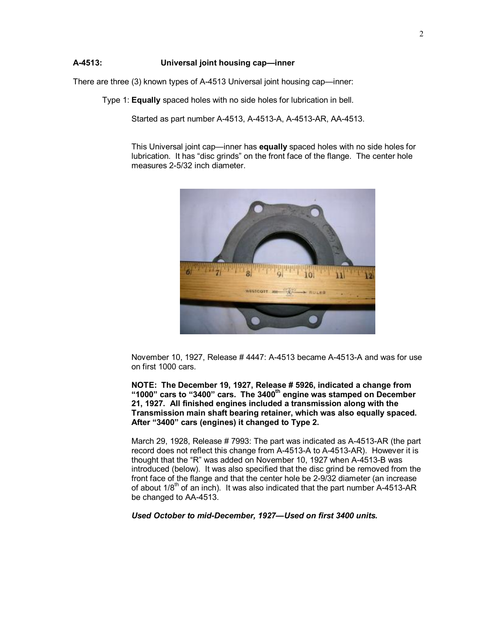# **A-4513: Universal joint housing cap—inner**

There are three (3) known types of A-4513 Universal joint housing cap—inner:

Type 1: **Equally** spaced holes with no side holes for lubrication in bell.

Started as part number A-4513, A-4513-A, A-4513-AR, AA-4513.

This Universal joint cap—inner has **equally** spaced holes with no side holes for lubrication. It has "disc grinds" on the front face of the flange. The center hole measures 2-5/32 inch diameter.



November 10, 1927, Release # 4447: A-4513 became A-4513-A and was for use on first 1000 cars.

**NOTE: The December 19, 1927, Release # 5926, indicated a change from "1000" cars to "3400" cars. The 3400th engine was stamped on December 21, 1927. All finished engines included a transmission along with the Transmission main shaft bearing retainer, which was also equally spaced. After "3400" cars (engines) it changed to Type 2.** 

March 29, 1928, Release # 7993: The part was indicated as A-4513-AR (the part record does not reflect this change from A-4513-A to A-4513-AR). However it is thought that the "R" was added on November 10, 1927 when A-4513-B was introduced (below). It was also specified that the disc grind be removed from the front face of the flange and that the center hole be 2-9/32 diameter (an increase of about 1/8<sup>th</sup> of an inch). It was also indicated that the part number A-4513-AR be changed to AA-4513.

*Used October to mid-December, 1927—Used on first 3400 units.*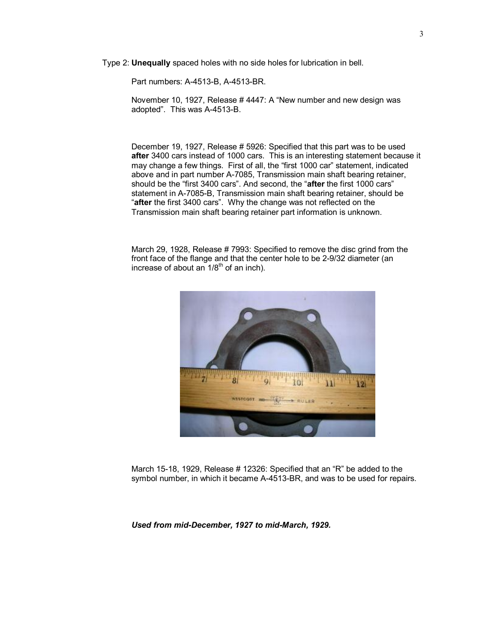Type 2: **Unequally** spaced holes with no side holes for lubrication in bell.

Part numbers: A-4513-B, A-4513-BR.

November 10, 1927, Release # 4447: A "New number and new design was adopted". This was A-4513-B.

December 19, 1927, Release # 5926: Specified that this part was to be used **after** 3400 cars instead of 1000 cars. This is an interesting statement because it may change a few things. First of all, the "first 1000 car" statement, indicated above and in part number A-7085, Transmission main shaft bearing retainer, should be the "first 3400 cars". And second, the "**after** the first 1000 cars" statement in A-7085-B, Transmission main shaft bearing retainer, should be "**after** the first 3400 cars". Why the change was not reflected on the Transmission main shaft bearing retainer part information is unknown.

March 29, 1928, Release # 7993: Specified to remove the disc grind from the front face of the flange and that the center hole to be 2-9/32 diameter (an increase of about an  $1/8^{th}$  of an inch).



March 15-18, 1929, Release # 12326: Specified that an "R" be added to the symbol number, in which it became A-4513-BR, and was to be used for repairs.

*Used from mid-December, 1927 to mid-March, 1929.*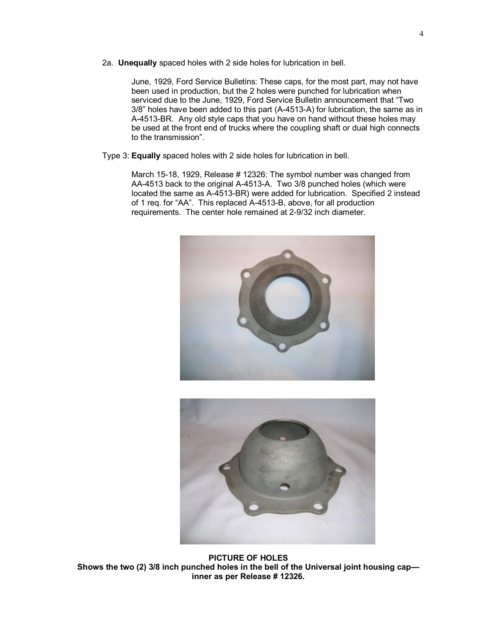2a. **Unequally** spaced holes with 2 side holes for lubrication in bell.

June, 1929, Ford Service Bulletins: These caps, for the most part, may not have been used in production, but the 2 holes were punched for lubrication when serviced due to the June, 1929, Ford Service Bulletin announcement that "Two 3/8" holes have been added to this part (A-4513-A) for lubrication, the same as in A-4513-BR. Any old style caps that you have on hand without these holes may be used at the front end of trucks where the coupling shaft or dual high connects to the transmission".

Type 3: **Equally** spaced holes with 2 side holes for lubrication in bell.

March 15-18, 1929, Release # 12326: The symbol number was changed from AA-4513 back to the original A-4513-A. Two 3/8 punched holes (which were located the same as A-4513-BR) were added for lubrication. Specified 2 instead of 1 req. for "AA". This replaced A-4513-B, above, for all production requirements. The center hole remained at 2-9/32 inch diameter.





**PICTURE OF HOLES Shows the two (2) 3/8 inch punched holes in the bell of the Universal joint housing cap inner as per Release # 12326.**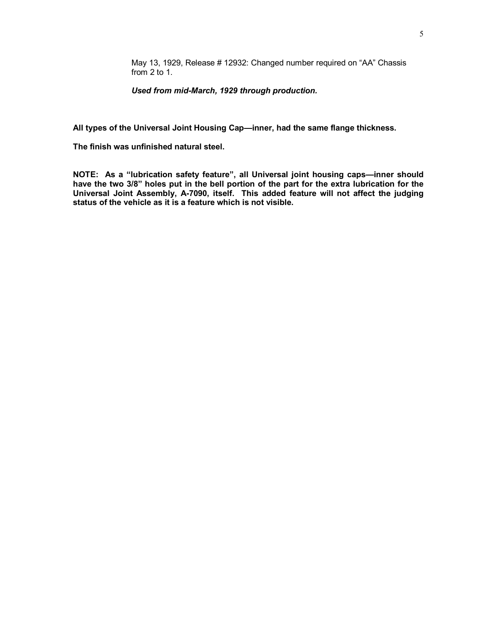May 13, 1929, Release # 12932: Changed number required on "AA" Chassis from 2 to 1.

*Used from mid-March, 1929 through production.*

**All types of the Universal Joint Housing Cap—inner, had the same flange thickness.** 

**The finish was unfinished natural steel.** 

**NOTE: As a "lubrication safety feature", all Universal joint housing caps—inner should**  have the two 3/8" holes put in the bell portion of the part for the extra lubrication for the **Universal Joint Assembly, A-7090, itself. This added feature will not affect the judging status of the vehicle as it is a feature which is not visible.**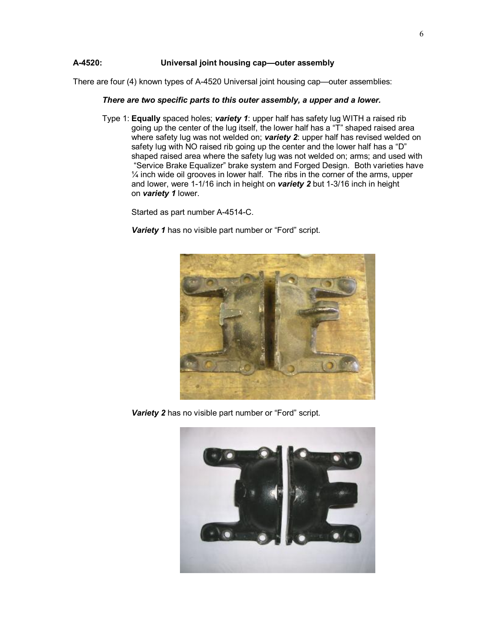### **A-4520: Universal joint housing cap—outer assembly**

There are four (4) known types of A-4520 Universal joint housing cap—outer assemblies:

#### *There are two specific parts to this outer assembly, a upper and a lower.*

Type 1: **Equally** spaced holes; *variety 1*: upper half has safety lug WITH a raised rib going up the center of the lug itself, the lower half has a "T" shaped raised area where safety lug was not welded on; *variety 2*: upper half has revised welded on safety lug with NO raised rib going up the center and the lower half has a "D" shaped raised area where the safety lug was not welded on; arms; and used with "Service Brake Equalizer" brake system and Forged Design. Both varieties have  $\frac{1}{4}$  inch wide oil grooves in lower half. The ribs in the corner of the arms, upper and lower, were 1-1/16 inch in height on *variety 2* but 1-3/16 inch in height on *variety 1* lower.

Started as part number A-4514-C.

**Variety 1** has no visible part number or "Ford" script.



*Variety 2* has no visible part number or "Ford" script.

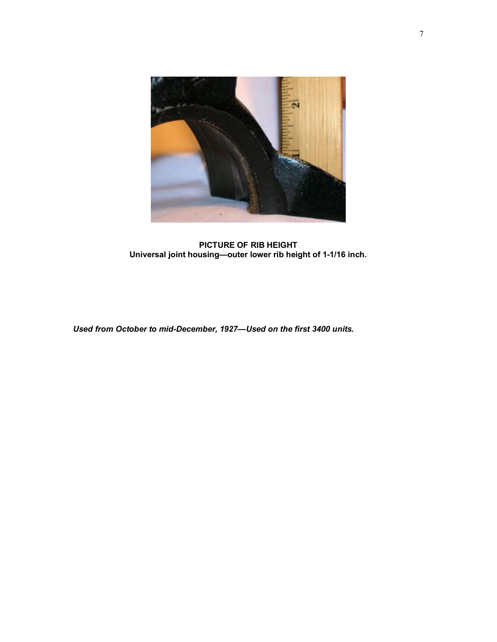

**PICTURE OF RIB HEIGHT Universal joint housing—outer lower rib height of 1-1/16 inch.** 

*Used from October to mid-December, 1927—Used on the first 3400 units.*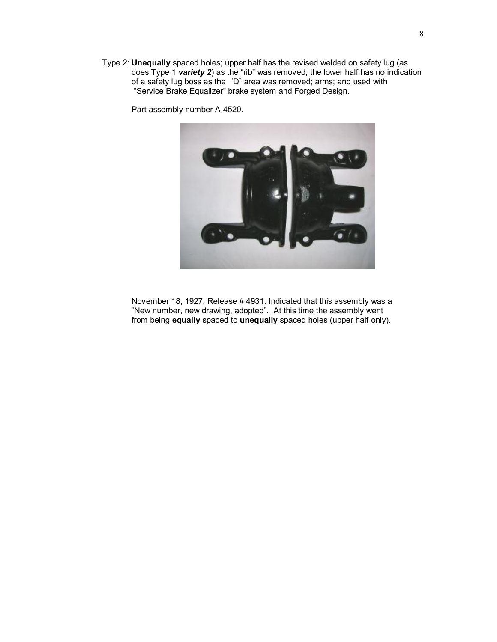Type 2: **Unequally** spaced holes; upper half has the revised welded on safety lug (as does Type 1 *variety 2*) as the "rib" was removed; the lower half has no indication of a safety lug boss as the "D" area was removed; arms; and used with "Service Brake Equalizer" brake system and Forged Design.

Part assembly number A-4520.



November 18, 1927, Release # 4931: Indicated that this assembly was a "New number, new drawing, adopted". At this time the assembly went from being **equally** spaced to **unequally** spaced holes (upper half only).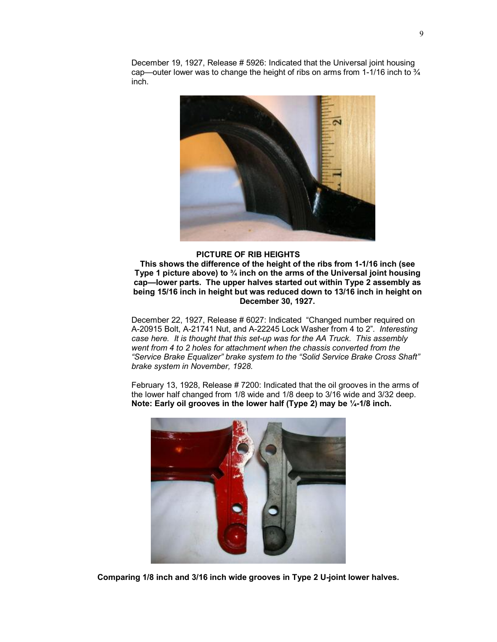December 19, 1927, Release # 5926: Indicated that the Universal joint housing cap—outer lower was to change the height of ribs on arms from 1-1/16 inch to ¾ inch.



## **PICTURE OF RIB HEIGHTS**

**This shows the difference of the height of the ribs from 1-1/16 inch (see Type 1 picture above) to ¾ inch on the arms of the Universal joint housing cap—lower parts. The upper halves started out within Type 2 assembly as being 15/16 inch in height but was reduced down to 13/16 inch in height on December 30, 1927.** 

December 22, 1927, Release # 6027: Indicated "Changed number required on A-20915 Bolt, A-21741 Nut, and A-22245 Lock Washer from 4 to 2". *Interesting case here. It is thought that this set-up was for the AA Truck. This assembly went from 4 to 2 holes for attachment when the chassis converted from the "Service Brake Equalizer" brake system to the "Solid Service Brake Cross Shaft" brake system in November, 1928.* 

February 13, 1928, Release # 7200: Indicated that the oil grooves in the arms of the lower half changed from 1/8 wide and 1/8 deep to 3/16 wide and 3/32 deep. **Note: Early oil grooves in the lower half (Type 2) may be ¼-1/8 inch.** 



**Comparing 1/8 inch and 3/16 inch wide grooves in Type 2 U-joint lower halves.**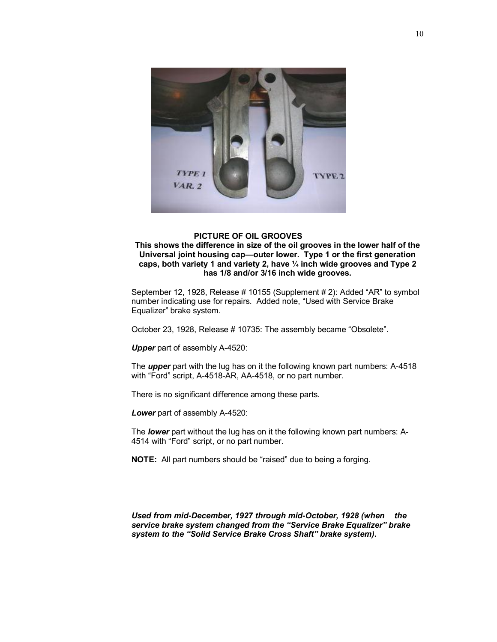

# **PICTURE OF OIL GROOVES**

**This shows the difference in size of the oil grooves in the lower half of the Universal joint housing cap—outer lower. Type 1 or the first generation caps, both variety 1 and variety 2, have ¼ inch wide grooves and Type 2 has 1/8 and/or 3/16 inch wide grooves.**

September 12, 1928, Release # 10155 (Supplement # 2): Added "AR" to symbol number indicating use for repairs. Added note, "Used with Service Brake Equalizer" brake system.

October 23, 1928, Release # 10735: The assembly became "Obsolete".

*Upper* part of assembly A-4520:

The *upper* part with the lug has on it the following known part numbers: A-4518 with "Ford" script, A-4518-AR, AA-4518, or no part number.

There is no significant difference among these parts.

*Lower* part of assembly A-4520:

The *lower* part without the lug has on it the following known part numbers: A-4514 with "Ford" script, or no part number.

**NOTE:** All part numbers should be "raised" due to being a forging.

*Used from mid-December, 1927 through mid-October, 1928 (when the service brake system changed from the "Service Brake Equalizer" brake system to the "Solid Service Brake Cross Shaft" brake system).*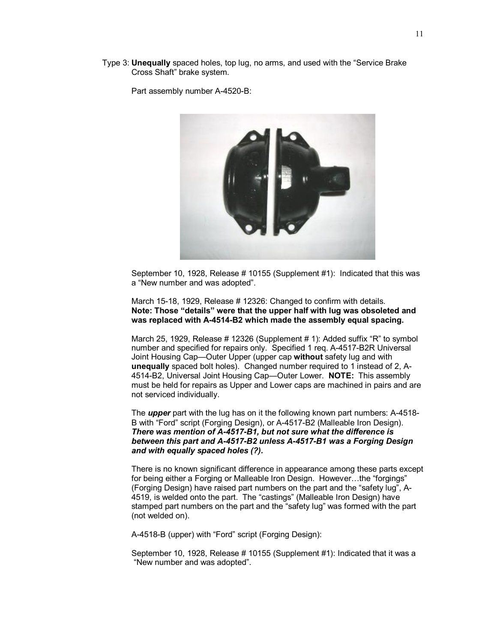Type 3: **Unequally** spaced holes, top lug, no arms, and used with the "Service Brake Cross Shaft" brake system.

Part assembly number A-4520-B:



September 10, 1928, Release # 10155 (Supplement #1): Indicated that this was a "New number and was adopted".

March 15-18, 1929, Release # 12326: Changed to confirm with details. **Note: Those "details" were that the upper half with lug was obsoleted and was replaced with A-4514-B2 which made the assembly equal spacing.** 

March 25, 1929, Release # 12326 (Supplement # 1): Added suffix "R" to symbol number and specified for repairs only. Specified 1 req. A-4517-B2R Universal Joint Housing Cap—Outer Upper (upper cap **without** safety lug and with **unequally** spaced bolt holes). Changed number required to 1 instead of 2, A-4514-B2, Universal Joint Housing Cap—Outer Lower. **NOTE:** This assembly must be held for repairs as Upper and Lower caps are machined in pairs and are not serviced individually.

The *upper* part with the lug has on it the following known part numbers: A-4518- B with "Ford" script (Forging Design), or A-4517-B2 (Malleable Iron Design). *There was mention of A-4517-B1, but not sure what the difference is between this part and A-4517-B2 unless A-4517-B1 was a Forging Design and with equally spaced holes (?).* 

There is no known significant difference in appearance among these parts except for being either a Forging or Malleable Iron Design. However…the "forgings" (Forging Design) have raised part numbers on the part and the "safety lug", A-4519, is welded onto the part. The "castings" (Malleable Iron Design) have stamped part numbers on the part and the "safety lug" was formed with the part (not welded on).

A-4518-B (upper) with "Ford" script (Forging Design):

September 10, 1928, Release # 10155 (Supplement #1): Indicated that it was a "New number and was adopted".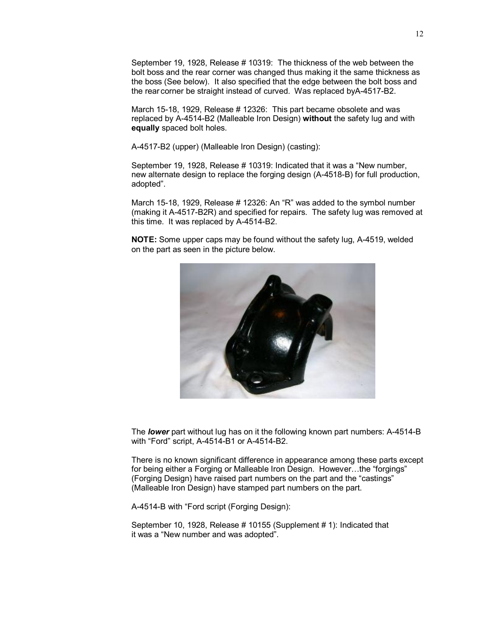September 19, 1928, Release # 10319: The thickness of the web between the bolt boss and the rear corner was changed thus making it the same thickness as the boss (See below). It also specified that the edge between the bolt boss and the rear corner be straight instead of curved. Was replaced byA-4517-B2.

March 15-18, 1929, Release # 12326: This part became obsolete and was replaced by A-4514-B2 (Malleable Iron Design) **without** the safety lug and with **equally** spaced bolt holes.

A-4517-B2 (upper) (Malleable Iron Design) (casting):

September 19, 1928, Release # 10319: Indicated that it was a "New number, new alternate design to replace the forging design (A-4518-B) for full production, adopted".

March 15-18, 1929, Release # 12326: An "R" was added to the symbol number (making it A-4517-B2R) and specified for repairs. The safety lug was removed at this time. It was replaced by A-4514-B2.

**NOTE:** Some upper caps may be found without the safety lug, A-4519, welded on the part as seen in the picture below.



The *lower* part without lug has on it the following known part numbers: A-4514-B with "Ford" script, A-4514-B1 or A-4514-B2.

There is no known significant difference in appearance among these parts except for being either a Forging or Malleable Iron Design. However...the "forgings" (Forging Design) have raised part numbers on the part and the "castings" (Malleable Iron Design) have stamped part numbers on the part.

A-4514-B with "Ford script (Forging Design):

September 10, 1928, Release # 10155 (Supplement # 1): Indicated that it was a "New number and was adopted".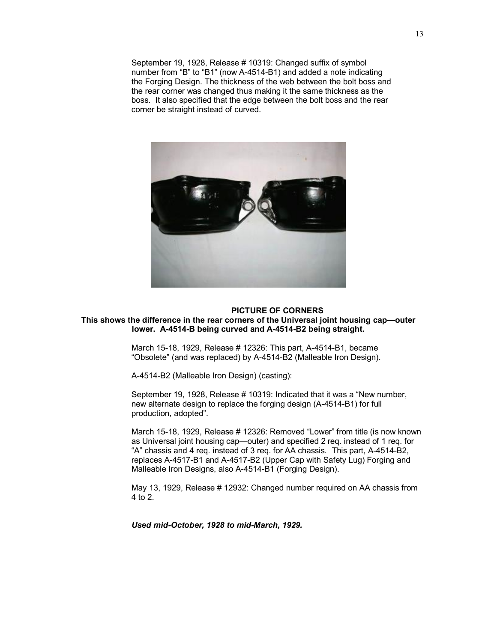September 19, 1928, Release # 10319: Changed suffix of symbol number from "B" to "B1" (now A-4514-B1) and added a note indicating the Forging Design. The thickness of the web between the bolt boss and the rear corner was changed thus making it the same thickness as the boss. It also specified that the edge between the bolt boss and the rear corner be straight instead of curved.



#### **PICTURE OF CORNERS This shows the difference in the rear corners of the Universal joint housing cap—outer lower. A-4514-B being curved and A-4514-B2 being straight.**

March 15-18, 1929, Release # 12326: This part, A-4514-B1, became "Obsolete" (and was replaced) by A-4514-B2 (Malleable Iron Design).

A-4514-B2 (Malleable Iron Design) (casting):

September 19, 1928, Release # 10319: Indicated that it was a "New number, new alternate design to replace the forging design (A-4514-B1) for full production, adopted".

March 15-18, 1929, Release # 12326: Removed "Lower" from title (is now known as Universal joint housing cap—outer) and specified 2 req. instead of 1 req. for "A" chassis and 4 req. instead of 3 req. for AA chassis. This part, A-4514-B2, replaces A-4517-B1 and A-4517-B2 (Upper Cap with Safety Lug) Forging and Malleable Iron Designs, also A-4514-B1 (Forging Design).

May 13, 1929, Release # 12932: Changed number required on AA chassis from 4 to 2.

*Used mid-October, 1928 to mid-March, 1929.*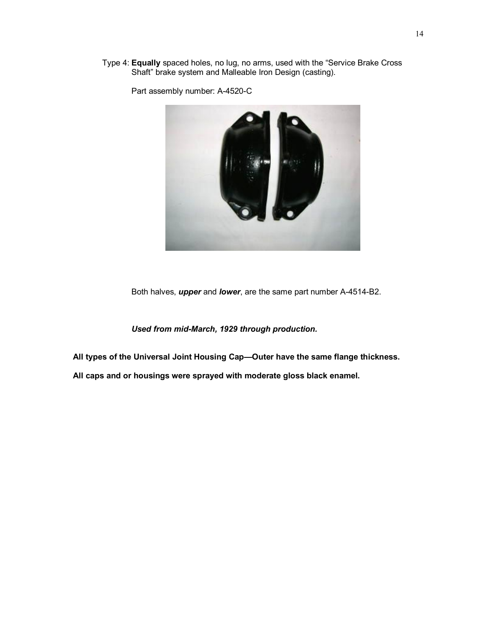Type 4: **Equally** spaced holes, no lug, no arms, used with the "Service Brake Cross Shaft" brake system and Malleable Iron Design (casting).



Part assembly number: A-4520-C

Both halves, *upper* and *lower*, are the same part number A-4514-B2.

*Used from mid-March, 1929 through production.*

**All types of the Universal Joint Housing Cap—Outer have the same flange thickness.** 

**All caps and or housings were sprayed with moderate gloss black enamel.**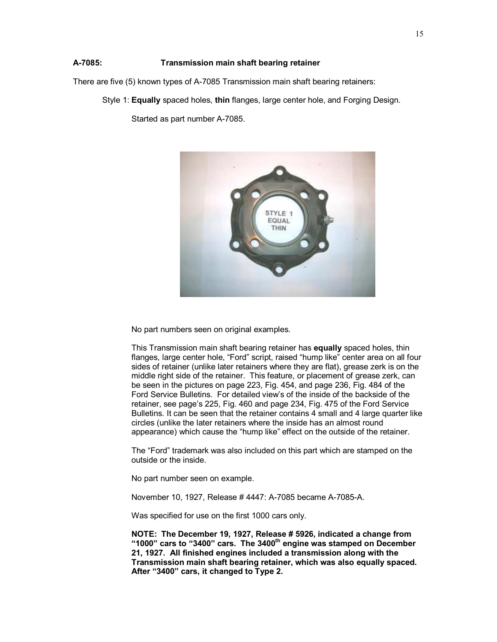# **A-7085: Transmission main shaft bearing retainer**

There are five (5) known types of A-7085 Transmission main shaft bearing retainers:

Style 1: **Equally** spaced holes, **thin** flanges, large center hole, and Forging Design.

Started as part number A-7085.



No part numbers seen on original examples.

This Transmission main shaft bearing retainer has **equally** spaced holes, thin flanges, large center hole, "Ford" script, raised "hump like" center area on all four sides of retainer (unlike later retainers where they are flat), grease zerk is on the middle right side of the retainer. This feature, or placement of grease zerk, can be seen in the pictures on page 223, Fig. 454, and page 236, Fig. 484 of the Ford Service Bulletins. For detailed view's of the inside of the backside of the retainer, see page's 225, Fig. 460 and page 234, Fig. 475 of the Ford Service Bulletins. It can be seen that the retainer contains 4 small and 4 large quarter like circles (unlike the later retainers where the inside has an almost round appearance) which cause the "hump like" effect on the outside of the retainer.

The "Ford" trademark was also included on this part which are stamped on the outside or the inside.

No part number seen on example.

November 10, 1927, Release # 4447: A-7085 became A-7085-A.

Was specified for use on the first 1000 cars only.

**NOTE: The December 19, 1927, Release # 5926, indicated a change from "1000" cars to "3400" cars. The 3400th engine was stamped on December 21, 1927. All finished engines included a transmission along with the Transmission main shaft bearing retainer, which was also equally spaced. After "3400" cars, it changed to Type 2.**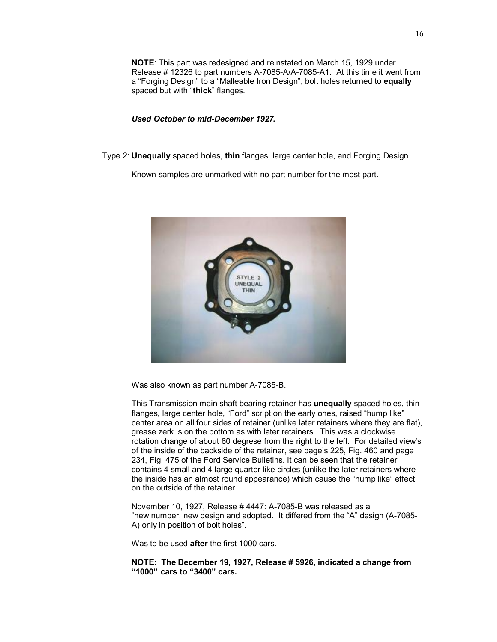**NOTE**: This part was redesigned and reinstated on March 15, 1929 under Release # 12326 to part numbers A-7085-A/A-7085-A1. At this time it went from a "Forging Design" to a "Malleable Iron Design", bolt holes returned to **equally** spaced but with "**thick**" flanges.

### *Used October to mid-December 1927.*

Type 2: **Unequally** spaced holes, **thin** flanges, large center hole, and Forging Design.

Known samples are unmarked with no part number for the most part.



Was also known as part number A-7085-B.

This Transmission main shaft bearing retainer has **unequally** spaced holes, thin flanges, large center hole, "Ford" script on the early ones, raised "hump like" center area on all four sides of retainer (unlike later retainers where they are flat), grease zerk is on the bottom as with later retainers. This was a clockwise rotation change of about 60 degrese from the right to the left. For detailed view's of the inside of the backside of the retainer, see page's 225, Fig. 460 and page 234, Fig. 475 of the Ford Service Bulletins. It can be seen that the retainer contains 4 small and 4 large quarter like circles (unlike the later retainers where the inside has an almost round appearance) which cause the "hump like" effect on the outside of the retainer.

November 10, 1927, Release # 4447: A-7085-B was released as a "new number, new design and adopted. It differed from the "A" design (A-7085- A) only in position of bolt holes".

Was to be used **after** the first 1000 cars.

**NOTE: The December 19, 1927, Release # 5926, indicated a change from "1000" cars to "3400" cars.**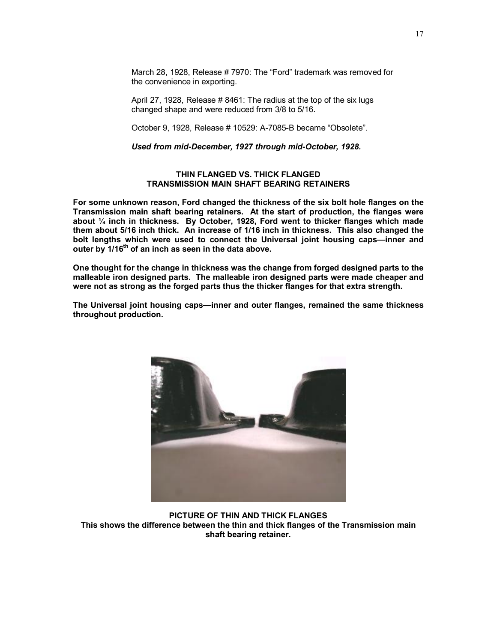March 28, 1928, Release # 7970: The "Ford" trademark was removed for the convenience in exporting.

April 27, 1928, Release # 8461: The radius at the top of the six lugs changed shape and were reduced from 3/8 to 5/16.

October 9, 1928, Release # 10529: A-7085-B became "Obsolete".

*Used from mid-December, 1927 through mid-October, 1928.* 

## **THIN FLANGED VS. THICK FLANGED TRANSMISSION MAIN SHAFT BEARING RETAINERS**

**For some unknown reason, Ford changed the thickness of the six bolt hole flanges on the Transmission main shaft bearing retainers. At the start of production, the flanges were about ¼ inch in thickness. By October, 1928, Ford went to thicker flanges which made them about 5/16 inch thick. An increase of 1/16 inch in thickness. This also changed the bolt lengths which were used to connect the Universal joint housing caps—inner and outer by 1/16th of an inch as seen in the data above.** 

**One thought for the change in thickness was the change from forged designed parts to the malleable iron designed parts. The malleable iron designed parts were made cheaper and were not as strong as the forged parts thus the thicker flanges for that extra strength.** 

**The Universal joint housing caps—inner and outer flanges, remained the same thickness throughout production.** 



**PICTURE OF THIN AND THICK FLANGES This shows the difference between the thin and thick flanges of the Transmission main shaft bearing retainer.**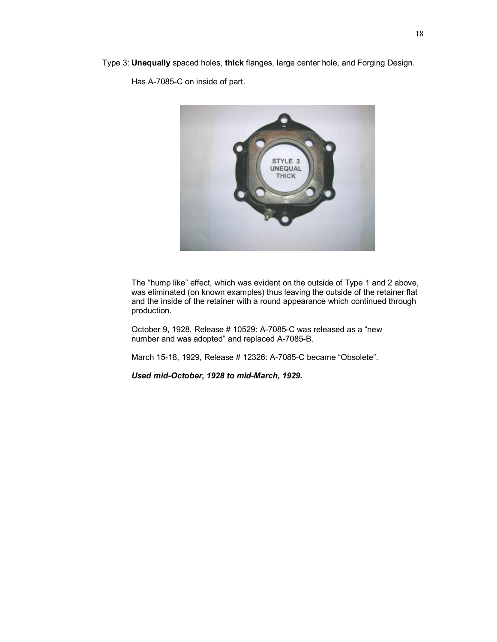Type 3: **Unequally** spaced holes, **thick** flanges, large center hole, and Forging Design.

Has A-7085-C on inside of part.



The "hump like" effect, which was evident on the outside of Type 1 and 2 above, was eliminated (on known examples) thus leaving the outside of the retainer flat and the inside of the retainer with a round appearance which continued through production.

October 9, 1928, Release # 10529: A-7085-C was released as a "new number and was adopted" and replaced A-7085-B.

March 15-18, 1929, Release # 12326: A-7085-C became "Obsolete".

*Used mid-October, 1928 to mid-March, 1929.*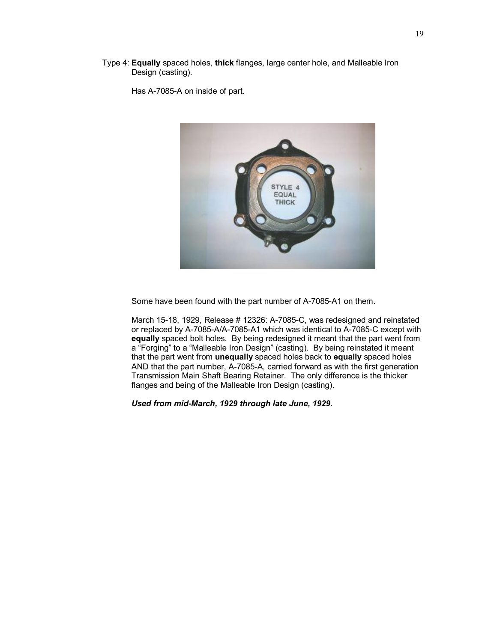Type 4: **Equally** spaced holes, **thick** flanges, large center hole, and Malleable Iron Design (casting).

Has A-7085-A on inside of part.



Some have been found with the part number of A-7085-A1 on them.

March 15-18, 1929, Release # 12326: A-7085-C, was redesigned and reinstated or replaced by A-7085-A/A-7085-A1 which was identical to A-7085-C except with **equally** spaced bolt holes. By being redesigned it meant that the part went from a "Forging" to a "Malleable Iron Design" (casting). By being reinstated it meant that the part went from **unequally** spaced holes back to **equally** spaced holes AND that the part number, A-7085-A, carried forward as with the first generation Transmission Main Shaft Bearing Retainer. The only difference is the thicker flanges and being of the Malleable Iron Design (casting).

*Used from mid-March, 1929 through late June, 1929.*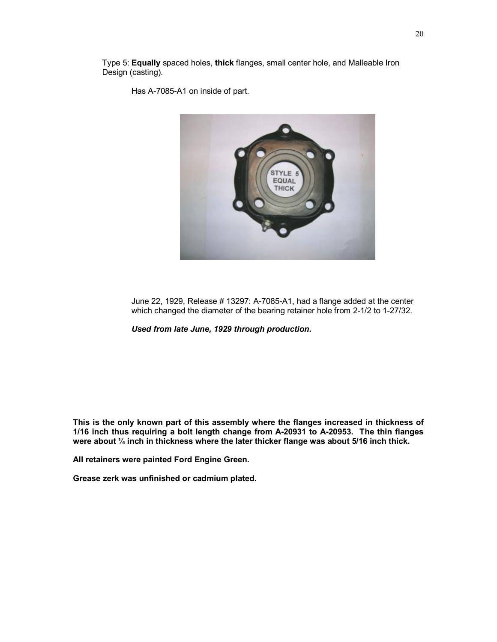Type 5: **Equally** spaced holes, **thick** flanges, small center hole, and Malleable Iron Design (casting).

Has A-7085-A1 on inside of part.



June 22, 1929, Release # 13297: A-7085-A1, had a flange added at the center which changed the diameter of the bearing retainer hole from 2-1/2 to 1-27/32.

*Used from late June, 1929 through production.* 

**This is the only known part of this assembly where the flanges increased in thickness of 1/16 inch thus requiring a bolt length change from A-20931 to A-20953. The thin flanges were about ¼ inch in thickness where the later thicker flange was about 5/16 inch thick.** 

**All retainers were painted Ford Engine Green.** 

**Grease zerk was unfinished or cadmium plated.**